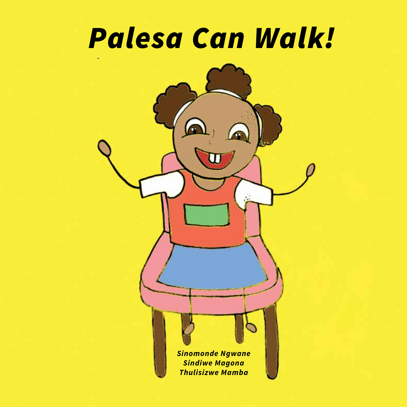### *Palesa Can Walk!*

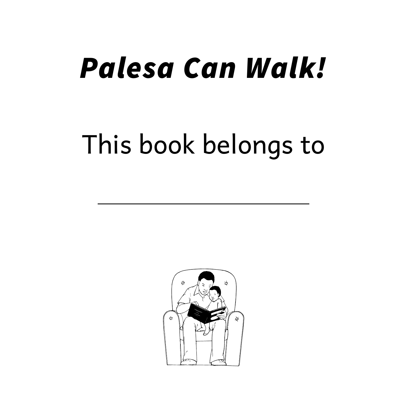# *Palesa Can Walk!*

## This book belongs to

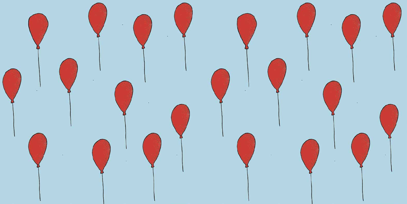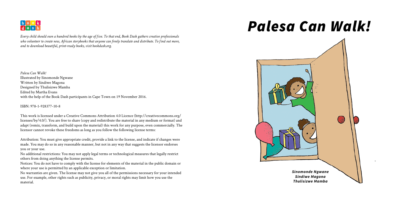

*Palesa Can Walk!* Illustrated by Sinomonde Ngwane Written by Sindiwe Magona Designed by Thulisizwe Mamba Edited by Martha Evans with the help of the Book Dash participants in Cape Town on 19 November 2016.

ISBN: 978-1-928377-10-8

This work is licensed under a Creative Commons Attribution 4.0 Licence (http://creativecommons.org/ licenses/by/4.0/). You are free to share (copy and redistribute the material in any medium or format) and adapt (remix, transform, and build upon the material) this work for any purpose, even commercially. The licensor cannot revoke these freedoms as long as you follow the following license terms:

Attribution: You must give appropriate credit, provide a link to the license, and indicate if changes were made. You may do so in any reasonable manner, but not in any way that suggests the licensor endorses you or your use.

No additional restrictions: You may not apply legal terms or technological measures that legally restrict others from doing anything the license permits.

Notices: You do not have to comply with the license for elements of the material in the public domain or where your use is permitted by an applicable exception or limitation.

No warranties are given. The license may not give you all of the permissions necessary for your intended use. For example, other rights such as publicity, privacy, or moral rights may limit how you use the material.



*Every child should own a hundred books by the age of five. To that end, Book Dash gathers creative professionals who volunteer to create new, African storybooks that anyone can freely translate and distribute. To find out more, and to download beautiful, print-ready books, visit [bookdash.org.](http://bookdash.org)*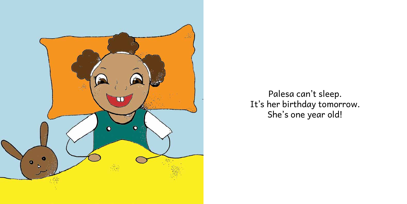

Palesa can't sleep. It's her birthday tomorrow. She's one year old!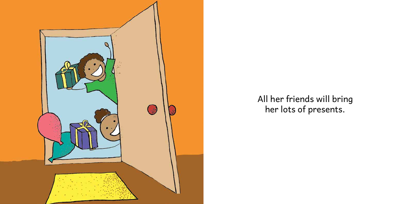

All her friends will bring her lots of presents.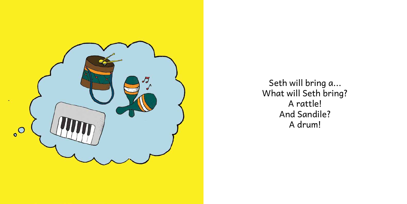

Seth will bring a... What will Seth bring? A rattle! And Sandile? A drum!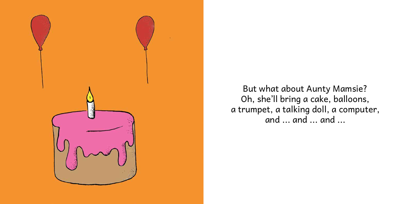

But what about Aunty Mamsie? Oh, she'll bring a cake, balloons, a trumpet, a talking doll, a computer, and ... and ... and ...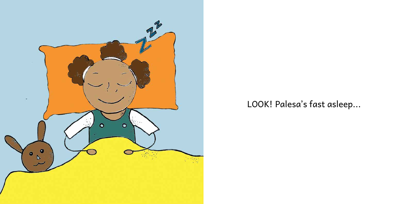

### LOOK! Palesa's fast asleep...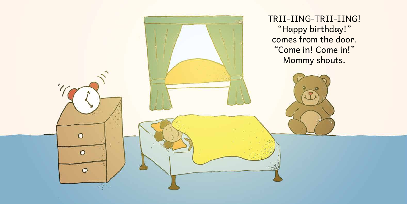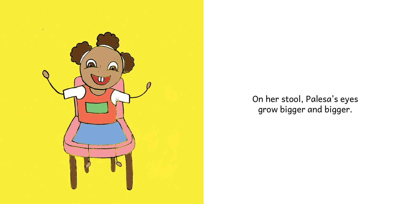

On her stool, Palesa's eyes grow bigger and bigger.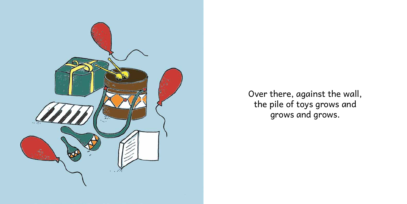

Over there, against the wall, the pile of toys grows and grows and grows.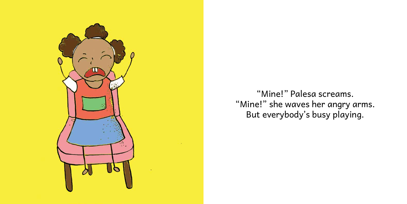

"Mine!" Palesa screams. "Mine!" she waves her angry arms. But everybody's busy playing.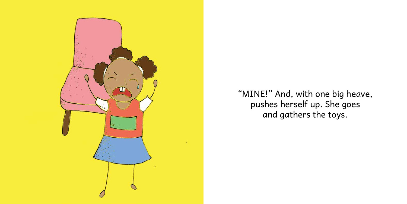

"MINE!" And, with one big heave, pushes herself up. She goes and gathers the toys.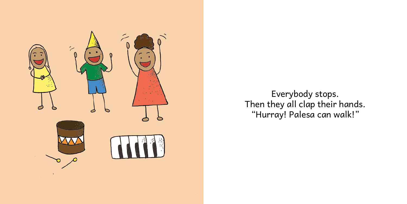

Everybody stops. Then they all clap their hands. "Hurray! Palesa can walk!"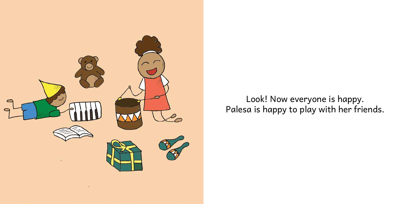

Look! Now everyone is happy. Palesa is happy to play with her friends.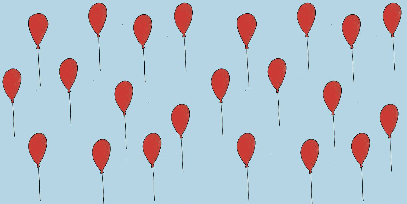